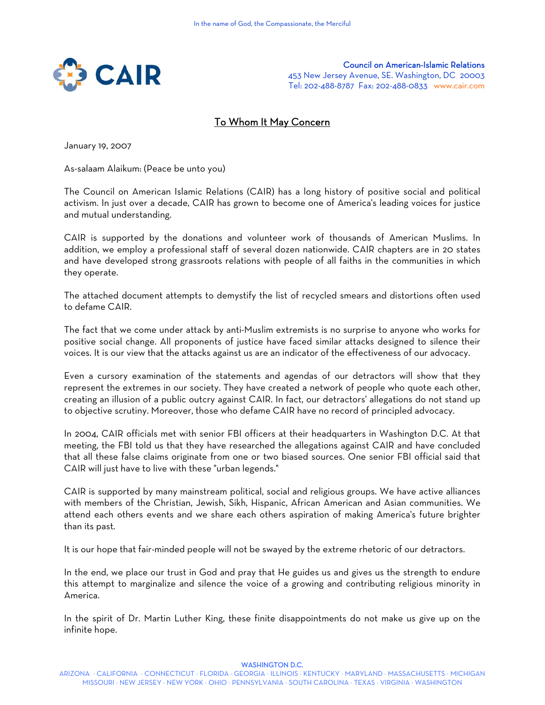

Council on American-Islamic Relations 453 New Jersey Avenue, SE. Washington, DC 20003 Tel: 202-488-8787 Fax: 202-488-0833 www.cair.com

# To Whom It May Concern

January 19, 2007

As-salaam Alaikum: (Peace be unto you)

The Council on American Islamic Relations (CAIR) has a long history of positive social and political activism. In just over a decade, CAIR has grown to become one of America's leading voices for justice and mutual understanding.

CAIR is supported by the donations and volunteer work of thousands of American Muslims. In addition, we employ a professional staff of several dozen nationwide. CAIR chapters are in 20 states and have developed strong grassroots relations with people of all faiths in the communities in which they operate.

The attached document attempts to demystify the list of recycled smears and distortions often used to defame CAIR.

The fact that we come under attack by anti-Muslim extremists is no surprise to anyone who works for positive social change. All proponents of justice have faced similar attacks designed to silence their voices. It is our view that the attacks against us are an indicator of the effectiveness of our advocacy.

Even a cursory examination of the statements and agendas of our detractors will show that they represent the extremes in our society. They have created a network of people who quote each other, creating an illusion of a public outcry against CAIR. In fact, our detractors' allegations do not stand up to objective scrutiny. Moreover, those who defame CAIR have no record of principled advocacy.

In 2004, CAIR officials met with senior FBI officers at their headquarters in Washington D.C. At that meeting, the FBI told us that they have researched the allegations against CAIR and have concluded that all these false claims originate from one or two biased sources. One senior FBI official said that CAIR will just have to live with these "urban legends."

CAIR is supported by many mainstream political, social and religious groups. We have active alliances with members of the Christian, Jewish, Sikh, Hispanic, African American and Asian communities. We attend each others events and we share each others aspiration of making America's future brighter than its past.

It is our hope that fair-minded people will not be swayed by the extreme rhetoric of our detractors.

In the end, we place our trust in God and pray that He guides us and gives us the strength to endure this attempt to marginalize and silence the voice of a growing and contributing religious minority in America.

In the spirit of Dr. Martin Luther King, these finite disappointments do not make us give up on the infinite hope.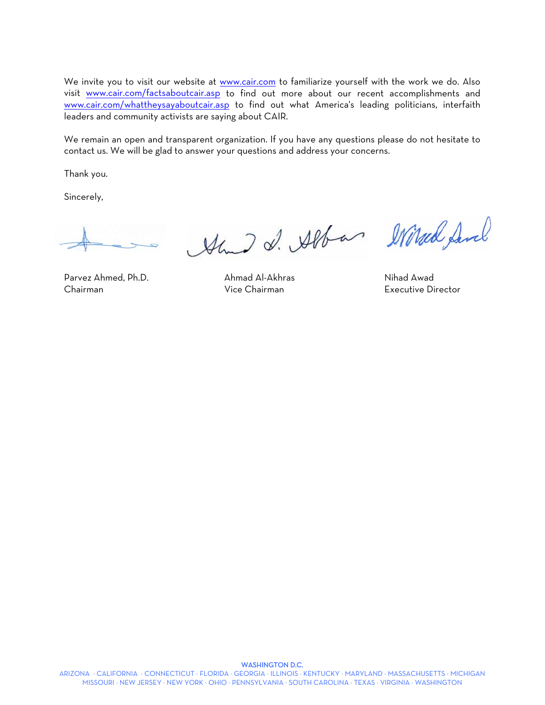We invite you to visit our website at www.cair.com to familiarize yourself with the work we do. Also visit www.cair.com/factsaboutcair.asp to find out more about our recent accomplishments and www.cair.com/whattheysayaboutcair.asp to find out what America's leading politicians, interfaith leaders and community activists are saying about CAIR.

We remain an open and transparent organization. If you have any questions please do not hesitate to contact us. We will be glad to answer your questions and address your concerns.

Thank you.

Sincerely,

Chairman Vice Chairman Executive Director

Am I d. Alban Mired Same

Parvez Ahmed, Ph.D. Ahmad Al-Akhras Nihad Awad

#### ARIZONA ⋅ CALIFORNIA ⋅ CONNECTICUT ⋅ FLORIDA ⋅ GEORGIA ⋅ ILLINOIS ⋅ KENTUCKY ⋅ MARYLAND ⋅ MASSACHUSETTS ⋅ MICHIGAN MISSOURI ⋅ NEW JERSEY ⋅ NEW YORK ⋅ OHIO ⋅ PENNSYLVANIA ⋅ SOUTH CAROLINA ⋅ TEXAS ⋅ VIRGINIA ⋅ WASHINGTON

#### WASHINGTON D.C.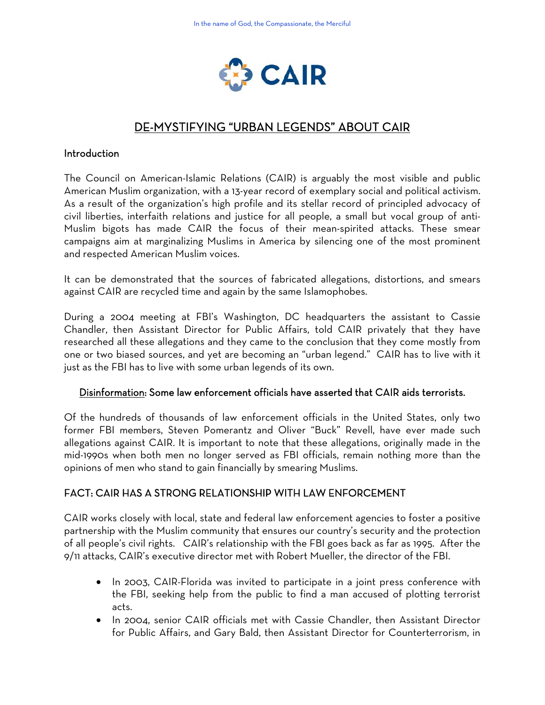

# DE-MYSTIFYING "URBAN LEGENDS" ABOUT CAIR

#### Introduction

The Council on American-Islamic Relations (CAIR) is arguably the most visible and public American Muslim organization, with a 13-year record of exemplary social and political activism. As a result of the organization's high profile and its stellar record of principled advocacy of civil liberties, interfaith relations and justice for all people, a small but vocal group of anti-Muslim bigots has made CAIR the focus of their mean-spirited attacks. These smear campaigns aim at marginalizing Muslims in America by silencing one of the most prominent and respected American Muslim voices.

It can be demonstrated that the sources of fabricated allegations, distortions, and smears against CAIR are recycled time and again by the same Islamophobes.

During a 2004 meeting at FBI's Washington, DC headquarters the assistant to Cassie Chandler, then Assistant Director for Public Affairs, told CAIR privately that they have researched all these allegations and they came to the conclusion that they come mostly from one or two biased sources, and yet are becoming an "urban legend." CAIR has to live with it just as the FBI has to live with some urban legends of its own.

#### Disinformation: Some law enforcement officials have asserted that CAIR aids terrorists.

Of the hundreds of thousands of law enforcement officials in the United States, only two former FBI members, Steven Pomerantz and Oliver "Buck" Revell, have ever made such allegations against CAIR. It is important to note that these allegations, originally made in the mid-1990s when both men no longer served as FBI officials, remain nothing more than the opinions of men who stand to gain financially by smearing Muslims.

#### FACT: CAIR HAS A STRONG RELATIONSHIP WITH LAW ENFORCEMENT

CAIR works closely with local, state and federal law enforcement agencies to foster a positive partnership with the Muslim community that ensures our country's security and the protection of all people's civil rights. CAIR's relationship with the FBI goes back as far as 1995. After the 9/11 attacks, CAIR's executive director met with Robert Mueller, the director of the FBI.

- In 2003, CAIR-Florida was invited to participate in a joint press conference with the FBI, seeking help from the public to find a man accused of plotting terrorist acts.
- In 2004, senior CAIR officials met with Cassie Chandler, then Assistant Director for Public Affairs, and Gary Bald, then Assistant Director for Counterterrorism, in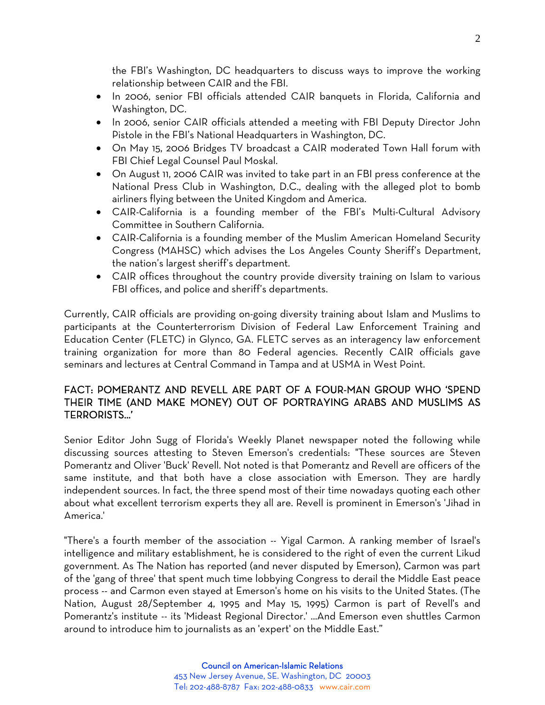the FBI's Washington, DC headquarters to discuss ways to improve the working relationship between CAIR and the FBI.

- In 2006, senior FBI officials attended CAIR banquets in Florida, California and Washington, DC.
- In 2006, senior CAIR officials attended a meeting with FBI Deputy Director John Pistole in the FBI's National Headquarters in Washington, DC.
- On May 15, 2006 Bridges TV broadcast a CAIR moderated Town Hall forum with FBI Chief Legal Counsel Paul Moskal.
- On August 11, 2006 CAIR was invited to take part in an FBI press conference at the National Press Club in Washington, D.C., dealing with the alleged plot to bomb airliners flying between the United Kingdom and America.
- CAIR-California is a founding member of the FBI's Multi-Cultural Advisory Committee in Southern California.
- CAIR-California is a founding member of the Muslim American Homeland Security Congress (MAHSC) which advises the Los Angeles County Sheriff's Department, the nation's largest sheriff's department.
- CAIR offices throughout the country provide diversity training on Islam to various FBI offices, and police and sheriff's departments.

Currently, CAIR officials are providing on-going diversity training about Islam and Muslims to participants at the Counterterrorism Division of Federal Law Enforcement Training and Education Center (FLETC) in Glynco, GA. FLETC serves as an interagency law enforcement training organization for more than 80 Federal agencies. Recently CAIR officials gave seminars and lectures at Central Command in Tampa and at USMA in West Point.

#### FACT: POMERANTZ AND REVELL ARE PART OF A FOUR-MAN GROUP WHO 'SPEND THEIR TIME (AND MAKE MONEY) OUT OF PORTRAYING ARABS AND MUSLIMS AS TERRORISTS…'

Senior Editor John Sugg of Florida's Weekly Planet newspaper noted the following while discussing sources attesting to Steven Emerson's credentials: "These sources are Steven Pomerantz and Oliver 'Buck' Revell. Not noted is that Pomerantz and Revell are officers of the same institute, and that both have a close association with Emerson. They are hardly independent sources. In fact, the three spend most of their time nowadays quoting each other about what excellent terrorism experts they all are. Revell is prominent in Emerson's 'Jihad in America.'

"There's a fourth member of the association -- Yigal Carmon. A ranking member of Israel's intelligence and military establishment, he is considered to the right of even the current Likud government. As The Nation has reported (and never disputed by Emerson), Carmon was part of the 'gang of three' that spent much time lobbying Congress to derail the Middle East peace process -- and Carmon even stayed at Emerson's home on his visits to the United States. (The Nation, August 28/September 4, 1995 and May 15, 1995) Carmon is part of Revell's and Pomerantz's institute -- its 'Mideast Regional Director.' ...And Emerson even shuttles Carmon around to introduce him to journalists as an 'expert' on the Middle East."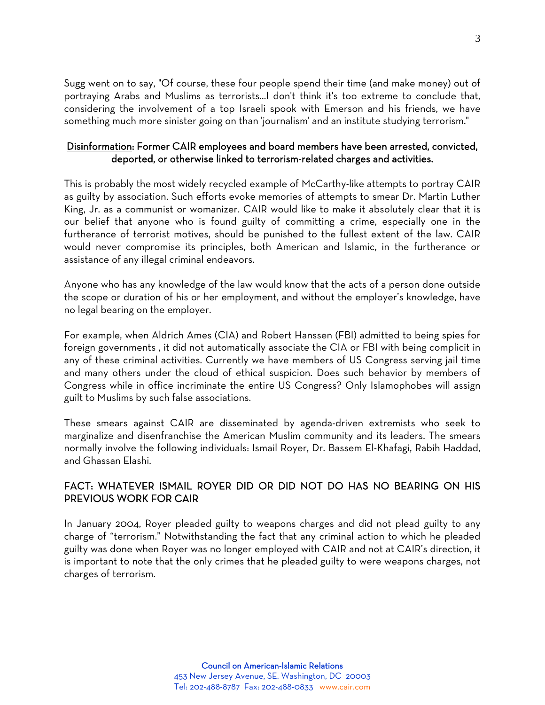Sugg went on to say, "Of course, these four people spend their time (and make money) out of portraying Arabs and Muslims as terrorists...I don't think it's too extreme to conclude that, considering the involvement of a top Israeli spook with Emerson and his friends, we have something much more sinister going on than 'journalism' and an institute studying terrorism."

#### Disinformation: Former CAIR employees and board members have been arrested, convicted, deported, or otherwise linked to terrorism-related charges and activities.

This is probably the most widely recycled example of McCarthy-like attempts to portray CAIR as guilty by association. Such efforts evoke memories of attempts to smear Dr. Martin Luther King, Jr. as a communist or womanizer. CAIR would like to make it absolutely clear that it is our belief that anyone who is found guilty of committing a crime, especially one in the furtherance of terrorist motives, should be punished to the fullest extent of the law. CAIR would never compromise its principles, both American and Islamic, in the furtherance or assistance of any illegal criminal endeavors.

Anyone who has any knowledge of the law would know that the acts of a person done outside the scope or duration of his or her employment, and without the employer's knowledge, have no legal bearing on the employer.

For example, when Aldrich Ames (CIA) and Robert Hanssen (FBI) admitted to being spies for foreign governments , it did not automatically associate the CIA or FBI with being complicit in any of these criminal activities. Currently we have members of US Congress serving jail time and many others under the cloud of ethical suspicion. Does such behavior by members of Congress while in office incriminate the entire US Congress? Only Islamophobes will assign guilt to Muslims by such false associations.

These smears against CAIR are disseminated by agenda-driven extremists who seek to marginalize and disenfranchise the American Muslim community and its leaders. The smears normally involve the following individuals: Ismail Royer, Dr. Bassem El-Khafagi, Rabih Haddad, and Ghassan Elashi.

## FACT: WHATEVER ISMAIL ROYER DID OR DID NOT DO HAS NO BEARING ON HIS PREVIOUS WORK FOR CAIR

In January 2004, Royer pleaded guilty to weapons charges and did not plead guilty to any charge of "terrorism." Notwithstanding the fact that any criminal action to which he pleaded guilty was done when Royer was no longer employed with CAIR and not at CAIR's direction, it is important to note that the only crimes that he pleaded guilty to were weapons charges, not charges of terrorism.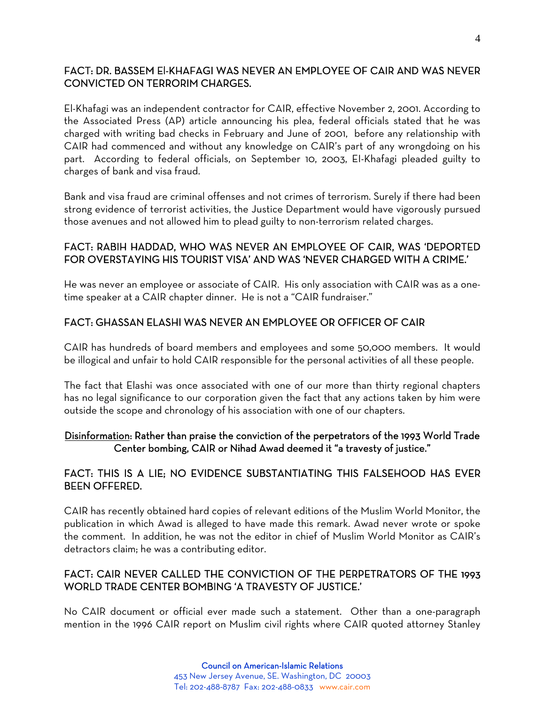### FACT: DR. BASSEM El-KHAFAGI WAS NEVER AN EMPLOYEE OF CAIR AND WAS NEVER CONVICTED ON TERRORIM CHARGES.

El-Khafagi was an independent contractor for CAIR, effective November 2, 2001. According to the Associated Press (AP) article announcing his plea, federal officials stated that he was charged with writing bad checks in February and June of 2001, before any relationship with CAIR had commenced and without any knowledge on CAIR's part of any wrongdoing on his part. According to federal officials, on September 10, 2003, EI-Khafagi pleaded guilty to charges of bank and visa fraud.

Bank and visa fraud are criminal offenses and not crimes of terrorism. Surely if there had been strong evidence of terrorist activities, the Justice Department would have vigorously pursued those avenues and not allowed him to plead guilty to non-terrorism related charges.

## FACT: RABIH HADDAD, WHO WAS NEVER AN EMPLOYEE OF CAIR, WAS 'DEPORTED FOR OVERSTAYING HIS TOURIST VISA' AND WAS 'NEVER CHARGED WITH A CRIME.'

He was never an employee or associate of CAIR. His only association with CAIR was as a onetime speaker at a CAIR chapter dinner. He is not a "CAIR fundraiser."

## FACT: GHASSAN ELASHI WAS NEVER AN EMPLOYEE OR OFFICER OF CAIR

CAIR has hundreds of board members and employees and some 50,000 members. It would be illogical and unfair to hold CAIR responsible for the personal activities of all these people.

The fact that Elashi was once associated with one of our more than thirty regional chapters has no legal significance to our corporation given the fact that any actions taken by him were outside the scope and chronology of his association with one of our chapters.

#### Disinformation: Rather than praise the conviction of the perpetrators of the 1993 World Trade Center bombing, CAIR or Nihad Awad deemed it "a travesty of justice."

## FACT: THIS IS A LIE; NO EVIDENCE SUBSTANTIATING THIS FALSEHOOD HAS EVER BEEN OFFERED.

CAIR has recently obtained hard copies of relevant editions of the Muslim World Monitor, the publication in which Awad is alleged to have made this remark. Awad never wrote or spoke the comment. In addition, he was not the editor in chief of Muslim World Monitor as CAIR's detractors claim; he was a contributing editor.

#### FACT: CAIR NEVER CALLED THE CONVICTION OF THE PERPETRATORS OF THE 1993 WORLD TRADE CENTER BOMBING 'A TRAVESTY OF JUSTICE.'

No CAIR document or official ever made such a statement. Other than a one-paragraph mention in the 1996 CAIR report on Muslim civil rights where CAIR quoted attorney Stanley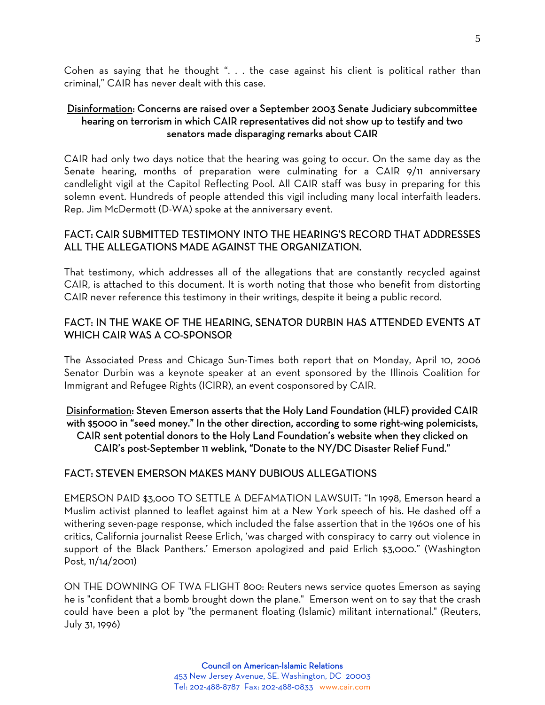Cohen as saying that he thought ". . . the case against his client is political rather than criminal," CAIR has never dealt with this case.

#### Disinformation: Concerns are raised over a September 2003 Senate Judiciary subcommittee hearing on terrorism in which CAIR representatives did not show up to testify and two senators made disparaging remarks about CAIR

CAIR had only two days notice that the hearing was going to occur. On the same day as the Senate hearing, months of preparation were culminating for a CAIR 9/11 anniversary candlelight vigil at the Capitol Reflecting Pool. All CAIR staff was busy in preparing for this solemn event. Hundreds of people attended this vigil including many local interfaith leaders. Rep. Jim McDermott (D-WA) spoke at the anniversary event.

#### FACT: CAIR SUBMITTED TESTIMONY INTO THE HEARING'S RECORD THAT ADDRESSES ALL THE ALLEGATIONS MADE AGAINST THE ORGANIZATION.

That testimony, which addresses all of the allegations that are constantly recycled against CAIR, is attached to this document. It is worth noting that those who benefit from distorting CAIR never reference this testimony in their writings, despite it being a public record.

#### FACT: IN THE WAKE OF THE HEARING, SENATOR DURBIN HAS ATTENDED EVENTS AT WHICH CAIR WAS A CO-SPONSOR

The Associated Press and Chicago Sun-Times both report that on Monday, April 10, 2006 Senator Durbin was a keynote speaker at an event sponsored by the Illinois Coalition for Immigrant and Refugee Rights (ICIRR), an event cosponsored by CAIR.

#### Disinformation: Steven Emerson asserts that the Holy Land Foundation (HLF) provided CAIR with \$5000 in "seed money." In the other direction, according to some right-wing polemicists, CAIR sent potential donors to the Holy Land Foundation's website when they clicked on CAIR's post-September 11 weblink, "Donate to the NY/DC Disaster Relief Fund."

#### FACT: STEVEN EMERSON MAKES MANY DUBIOUS ALLEGATIONS

EMERSON PAID \$3,000 TO SETTLE A DEFAMATION LAWSUIT: "In 1998, Emerson heard a Muslim activist planned to leaflet against him at a New York speech of his. He dashed off a withering seven-page response, which included the false assertion that in the 1960s one of his critics, California journalist Reese Erlich, 'was charged with conspiracy to carry out violence in support of the Black Panthers.' Emerson apologized and paid Erlich \$3,000." (Washington Post, 11/14/2001)

ON THE DOWNING OF TWA FLIGHT 800: Reuters news service quotes Emerson as saying he is "confident that a bomb brought down the plane." Emerson went on to say that the crash could have been a plot by "the permanent floating (Islamic) militant international." (Reuters, July 31, 1996)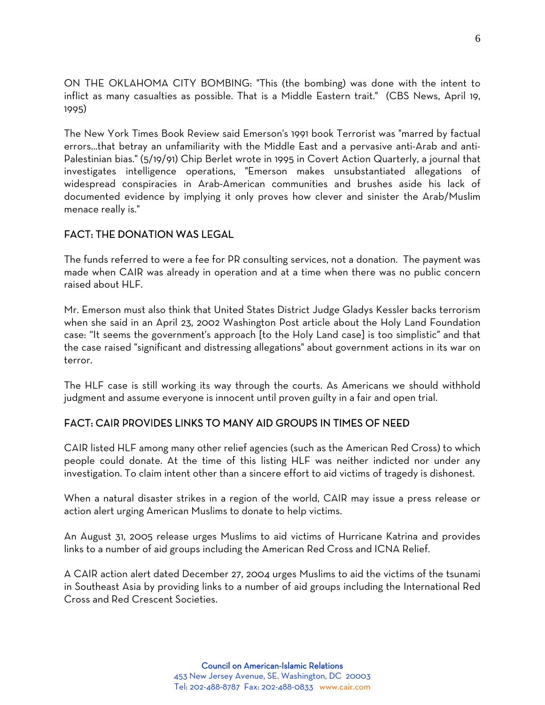ON THE OKLAHOMA CITY BOMBING: "This (the bombing) was done with the intent to inflict as many casualties as possible. That is a Middle Eastern trait." (CBS News, April 19, 1995)

The New York Times Book Review said Emerson's 1991 book Terrorist was "marred by factual errors...that betray an unfamiliarity with the Middle East and a pervasive anti-Arab and anti-Palestinian bias." (5/19/91) Chip Berlet wrote in 1995 in Covert Action Quarterly, a journal that investigates intelligence operations, "Emerson makes unsubstantiated allegations of widespread conspiracies in Arab-American communities and brushes aside his lack of documented evidence by implying it only proves how clever and sinister the Arab/Muslim menace really is."

## FACT: THE DONATION WAS LEGAL

The funds referred to were a fee for PR consulting services, not a donation. The payment was made when CAIR was already in operation and at a time when there was no public concern raised about HLF.

Mr. Emerson must also think that United States District Judge Gladys Kessler backs terrorism when she said in an April 23, 2002 Washington Post article about the Holy Land Foundation case: "It seems the government's approach [to the Holy Land case] is too simplistic" and that the case raised "significant and distressing allegations" about government actions in its war on terror.

The HLF case is still working its way through the courts. As Americans we should withhold judgment and assume everyone is innocent until proven guilty in a fair and open trial.

# FACT: CAIR PROVIDES LINKS TO MANY AID GROUPS IN TIMES OF NEED

CAIR listed HLF among many other relief agencies (such as the American Red Cross) to which people could donate. At the time of this listing HLF was neither indicted nor under any investigation. To claim intent other than a sincere effort to aid victims of tragedy is dishonest.

When a natural disaster strikes in a region of the world, CAIR may issue a press release or action alert urging American Muslims to donate to help victims.

An August 31, 2005 release urges Muslims to aid victims of Hurricane Katrina and provides links to a number of aid groups including the American Red Cross and ICNA Relief.

A CAIR action alert dated December 27, 2004 urges Muslims to aid the victims of the tsunami in Southeast Asia by providing links to a number of aid groups including the International Red Cross and Red Crescent Societies.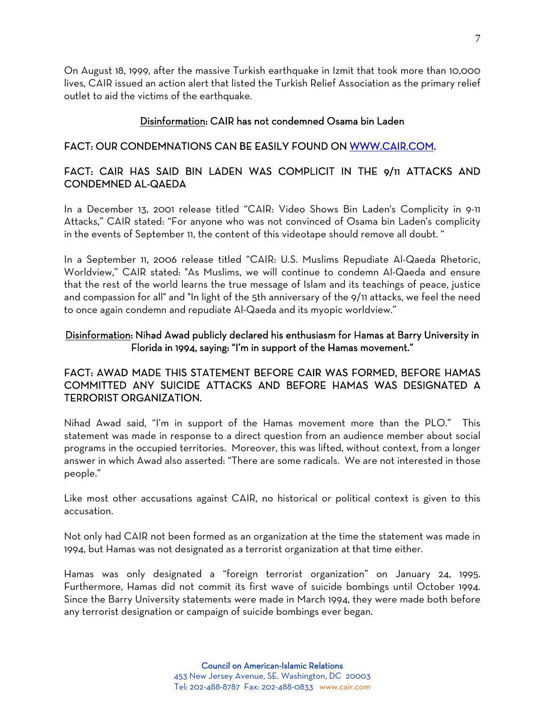On August 18, 1999, after the massive Turkish earthquake in Izmit that took more than 10,000 lives, CAIR issued an action alert that listed the Turkish Relief Association as the primary relief outlet to aid the victims of the earthquake.

#### Disinformation: CAIR has not condemned Osama bin Laden

#### FACT: OUR CONDEMNATIONS CAN BE EASILY FOUND ON WWW.CAIR.COM.

# FACT: CAIR HAS SAID BIN LADEN WAS COMPLICIT IN THE 9/11 ATTACKS AND CONDEMNED AL-QAEDA

In a December 13, 2001 release titled "CAIR: Video Shows Bin Laden's Complicity in 9-11 Attacks," CAIR stated: "For anyone who was not convinced of Osama bin Laden's complicity in the events of September 11, the content of this videotape should remove all doubt. "

In a September 11, 2006 release titled "CAIR: U.S. Muslims Repudiate Al-Qaeda Rhetoric, Worldview," CAIR stated: "As Muslims, we will continue to condemn Al-Qaeda and ensure that the rest of the world learns the true message of Islam and its teachings of peace, justice and compassion for all" and "In light of the 5th anniversary of the 9/11 attacks, we feel the need to once again condemn and repudiate Al-Qaeda and its myopic worldview."

#### Disinformation: Nihad Awad publicly declared his enthusiasm for Hamas at Barry University in Florida in 1994, saying: "I'm in support of the Hamas movement."

# FACT: AWAD MADE THIS STATEMENT BEFORE CAIR WAS FORMED, BEFORE HAMAS COMMITTED ANY SUICIDE ATTACKS AND BEFORE HAMAS WAS DESIGNATED A TERRORIST ORGANIZATION.

Nihad Awad said, "I'm in support of the Hamas movement more than the PLO." This statement was made in response to a direct question from an audience member about social programs in the occupied territories. Moreover, this was lifted, without context, from a longer answer in which Awad also asserted: "There are some radicals. We are not interested in those people."

Like most other accusations against CAIR, no historical or political context is given to this accusation.

Not only had CAIR not been formed as an organization at the time the statement was made in 1994, but Hamas was not designated as a terrorist organization at that time either.

Hamas was only designated a "foreign terrorist organization" on January 24, 1995. Furthermore, Hamas did not commit its first wave of suicide bombings until October 1994. Since the Barry University statements were made in March 1994, they were made both before any terrorist designation or campaign of suicide bombings ever began.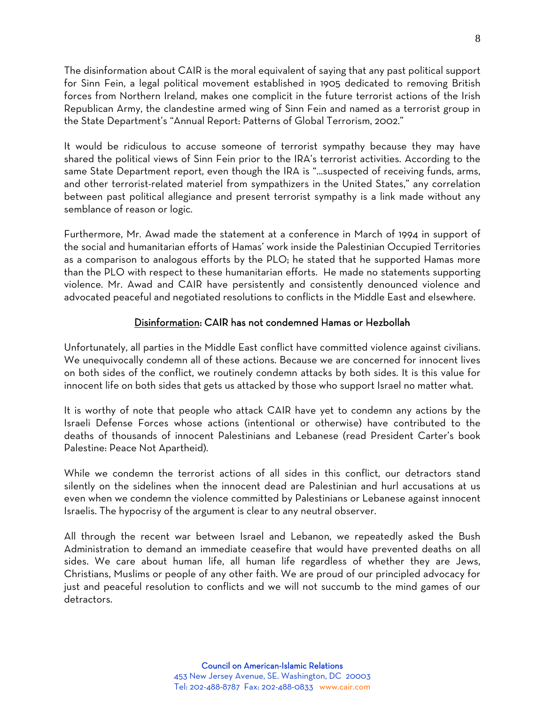The disinformation about CAIR is the moral equivalent of saying that any past political support for Sinn Fein, a legal political movement established in 1905 dedicated to removing British forces from Northern Ireland, makes one complicit in the future terrorist actions of the Irish Republican Army, the clandestine armed wing of Sinn Fein and named as a terrorist group in the State Department's "Annual Report: Patterns of Global Terrorism, 2002."

It would be ridiculous to accuse someone of terrorist sympathy because they may have shared the political views of Sinn Fein prior to the IRA's terrorist activities. According to the same State Department report, even though the IRA is "...suspected of receiving funds, arms, and other terrorist-related materiel from sympathizers in the United States," any correlation between past political allegiance and present terrorist sympathy is a link made without any semblance of reason or logic.

Furthermore, Mr. Awad made the statement at a conference in March of 1994 in support of the social and humanitarian efforts of Hamas' work inside the Palestinian Occupied Territories as a comparison to analogous efforts by the PLO; he stated that he supported Hamas more than the PLO with respect to these humanitarian efforts. He made no statements supporting violence. Mr. Awad and CAIR have persistently and consistently denounced violence and advocated peaceful and negotiated resolutions to conflicts in the Middle East and elsewhere.

#### Disinformation: CAIR has not condemned Hamas or Hezbollah

Unfortunately, all parties in the Middle East conflict have committed violence against civilians. We unequivocally condemn all of these actions. Because we are concerned for innocent lives on both sides of the conflict, we routinely condemn attacks by both sides. It is this value for innocent life on both sides that gets us attacked by those who support Israel no matter what.

It is worthy of note that people who attack CAIR have yet to condemn any actions by the Israeli Defense Forces whose actions (intentional or otherwise) have contributed to the deaths of thousands of innocent Palestinians and Lebanese (read President Carter's book Palestine: Peace Not Apartheid).

While we condemn the terrorist actions of all sides in this conflict, our detractors stand silently on the sidelines when the innocent dead are Palestinian and hurl accusations at us even when we condemn the violence committed by Palestinians or Lebanese against innocent Israelis. The hypocrisy of the argument is clear to any neutral observer.

All through the recent war between Israel and Lebanon, we repeatedly asked the Bush Administration to demand an immediate ceasefire that would have prevented deaths on all sides. We care about human life, all human life regardless of whether they are Jews, Christians, Muslims or people of any other faith. We are proud of our principled advocacy for just and peaceful resolution to conflicts and we will not succumb to the mind games of our detractors.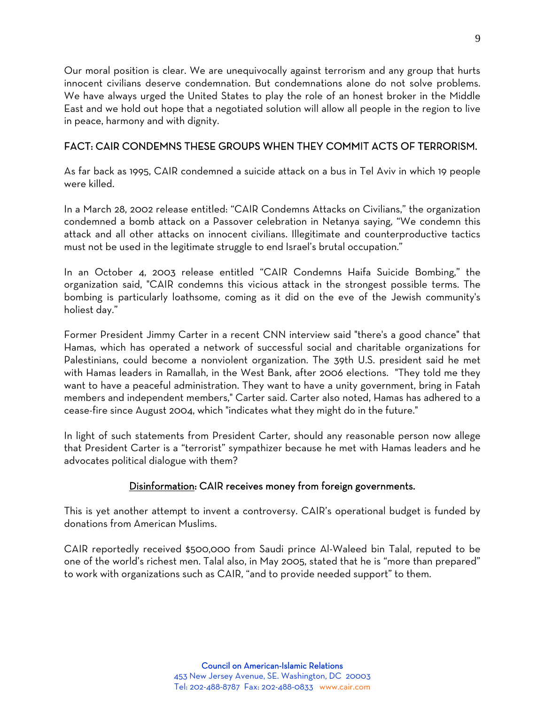Our moral position is clear. We are unequivocally against terrorism and any group that hurts innocent civilians deserve condemnation. But condemnations alone do not solve problems. We have always urged the United States to play the role of an honest broker in the Middle East and we hold out hope that a negotiated solution will allow all people in the region to live in peace, harmony and with dignity.

#### FACT: CAIR CONDEMNS THESE GROUPS WHEN THEY COMMIT ACTS OF TERRORISM.

As far back as 1995, CAIR condemned a suicide attack on a bus in Tel Aviv in which 19 people were killed.

In a March 28, 2002 release entitled: "CAIR Condemns Attacks on Civilians," the organization condemned a bomb attack on a Passover celebration in Netanya saying, "We condemn this attack and all other attacks on innocent civilians. Illegitimate and counterproductive tactics must not be used in the legitimate struggle to end Israel's brutal occupation."

In an October 4, 2003 release entitled "CAIR Condemns Haifa Suicide Bombing," the organization said, "CAIR condemns this vicious attack in the strongest possible terms. The bombing is particularly loathsome, coming as it did on the eve of the Jewish community's holiest day."

Former President Jimmy Carter in a recent CNN interview said "there's a good chance" that Hamas, which has operated a network of successful social and charitable organizations for Palestinians, could become a nonviolent organization. The 39th U.S. president said he met with Hamas leaders in Ramallah, in the West Bank, after 2006 elections. "They told me they want to have a peaceful administration. They want to have a unity government, bring in Fatah members and independent members," Carter said. Carter also noted, Hamas has adhered to a cease-fire since August 2004, which "indicates what they might do in the future."

In light of such statements from President Carter, should any reasonable person now allege that President Carter is a "terrorist" sympathizer because he met with Hamas leaders and he advocates political dialogue with them?

#### Disinformation: CAIR receives money from foreign governments.

This is yet another attempt to invent a controversy. CAIR's operational budget is funded by donations from American Muslims.

CAIR reportedly received \$500,000 from Saudi prince Al-Waleed bin Talal, reputed to be one of the world's richest men. Talal also, in May 2005, stated that he is "more than prepared" to work with organizations such as CAIR, "and to provide needed support" to them.